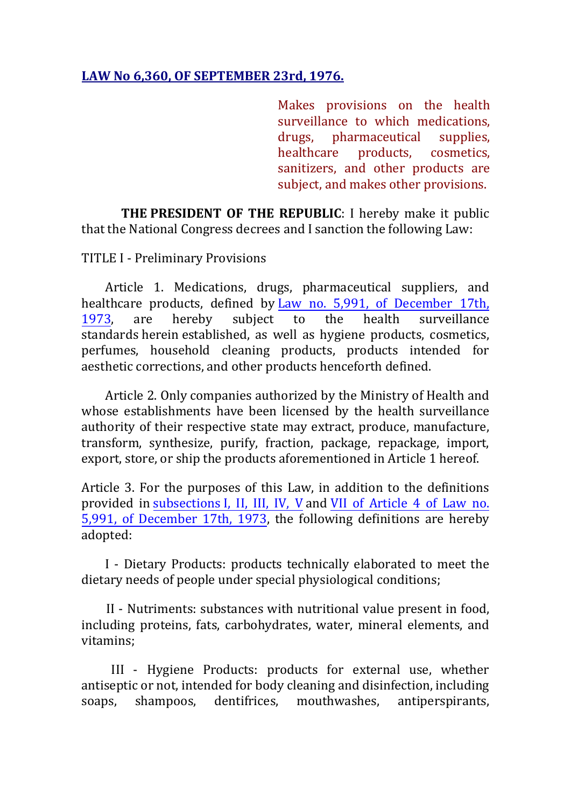## **LAW No [6,360, OF SEPTEMBER 23rd, 1976.](http://legislacao.planalto.gov.br/legisla/legislacao.nsf/Viw_Identificacao/lei%206.360-1976?OpenDocument)**

Makes provisions on the health surveillance to which medications,<br>drugs, pharmaceutical supplies, drugs, pharmaceutical<br>healthcare products. products, cosmetics, sanitizers, and other products are subject, and makes other provisions.

**THE PRESIDENT OF THE REPUBLIC**: I hereby make it public that the National Congress decrees and I sanction the following Law:

TITLE I - Preliminary Provisions

 Article 1. Medications, drugs, pharmaceutical suppliers, and healthcare products, defined by <u>Law no. 5,991, of December 17th,</u><br>1973, are hereby subject to the health surveillance [1973,](http://www.planalto.gov.br/ccivil_03/leis/L5991.htm) are hereby subject to the health surveillance standards herein established, as well as hygiene products, cosmetics, perfumes, household cleaning products, products intended for aesthetic corrections, and other products henceforth defined.

 Article 2. Only companies authorized by the Ministry of Health and whose establishments have been licensed by the health surveillance authority of their respective state may extract, produce, manufacture, transform, synthesize, purify, fraction, package, repackage, import, export, store, or ship the products aforementioned in Article 1 hereof.

Article 3. For the purposes of this Law, in addition to the definitions provided in subsections [I, II, III, IV, V](http://www.planalto.gov.br/ccivil_03/leis/L5991.htm%23art4i) and [VII of Article 4 of Law no.](http://www.planalto.gov.br/ccivil_03/leis/L5991.htm%23art4vii)  [5,991, of December 17th, 1973,](http://www.planalto.gov.br/ccivil_03/leis/L5991.htm%23art4vii) the following definitions are hereby adopted:

 I - Dietary Products: products technically elaborated to meet the dietary needs of people under special physiological conditions;

 II - Nutriments: substances with nutritional value present in food, including proteins, fats, carbohydrates, water, mineral elements, and vitamins;

 III - Hygiene Products: products for external use, whether antiseptic or not, intended for body cleaning and disinfection, including soaps, shampoos, dentifrices, mouthwashes, antiperspirants, dentifrices, mouthwashes,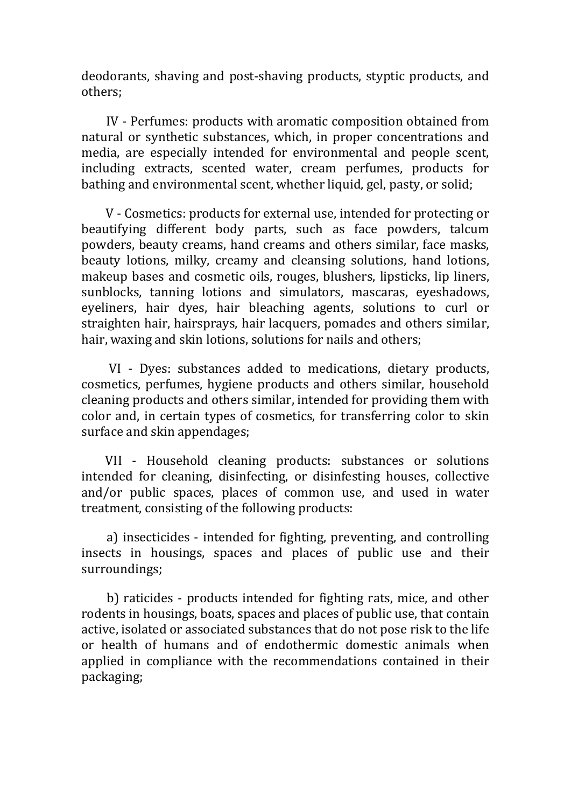deodorants, shaving and post-shaving products, styptic products, and others;

 IV - Perfumes: products with aromatic composition obtained from natural or synthetic substances, which, in proper concentrations and media, are especially intended for environmental and people scent, including extracts, scented water, cream perfumes, products for bathing and environmental scent, whether liquid, gel, pasty, or solid;

 V - Cosmetics: products for external use, intended for protecting or beautifying different body parts, such as face powders, talcum powders, beauty creams, hand creams and others similar, face masks, beauty lotions, milky, creamy and cleansing solutions, hand lotions, makeup bases and cosmetic oils, rouges, blushers, lipsticks, lip liners, sunblocks, tanning lotions and simulators, mascaras, eyeshadows, eyeliners, hair dyes, hair bleaching agents, solutions to curl or straighten hair, hairsprays, hair lacquers, pomades and others similar, hair, waxing and skin lotions, solutions for nails and others;

 VI - Dyes: substances added to medications, dietary products, cosmetics, perfumes, hygiene products and others similar, household cleaning products and others similar, intended for providing them with color and, in certain types of cosmetics, for transferring color to skin surface and skin appendages;

 VII - Household cleaning products: substances or solutions intended for cleaning, disinfecting, or disinfesting houses, collective and/or public spaces, places of common use, and used in water treatment, consisting of the following products:

a) insecticides - intended for fighting, preventing, and controlling insects in housings, spaces and places of public use and their surroundings;

b) raticides - products intended for fighting rats, mice, and other rodents in housings, boats, spaces and places of public use, that contain active, isolated or associated substances that do not pose risk to the life or health of humans and of endothermic domestic animals when applied in compliance with the recommendations contained in their packaging;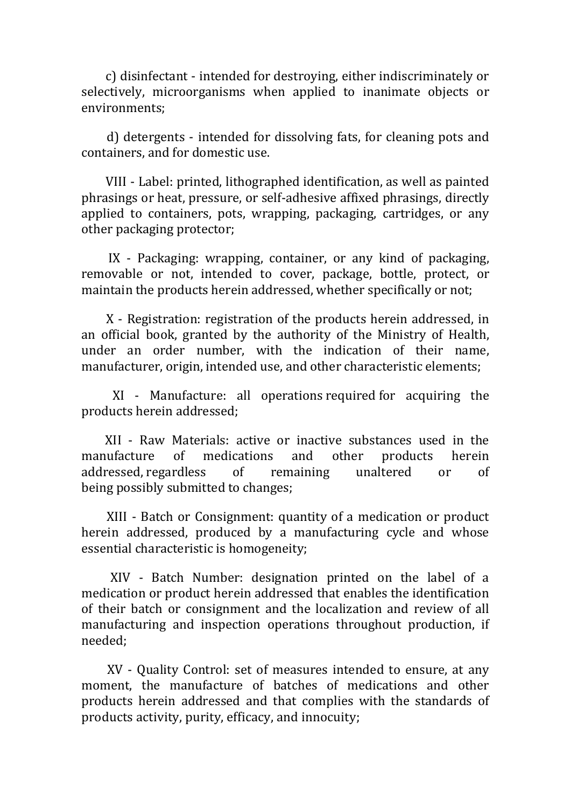c) disinfectant - intended for destroying, either indiscriminately or selectively, microorganisms when applied to inanimate objects or environments;

d) detergents - intended for dissolving fats, for cleaning pots and containers, and for domestic use.

 VIII - Label: printed, lithographed identification, as well as painted phrasings or heat, pressure, or self-adhesive affixed phrasings, directly applied to containers, pots, wrapping, packaging, cartridges, or any other packaging protector;

 IX - Packaging: wrapping, container, or any kind of packaging, removable or not, intended to cover, package, bottle, protect, or maintain the products herein addressed, whether specifically or not;

 X - Registration: registration of the products herein addressed, in an official book, granted by the authority of the Ministry of Health, under an order number, with the indication of their name, manufacturer, origin, intended use, and other characteristic elements;

 XI - Manufacture: all operations required for acquiring the products herein addressed;

XII - Raw Materials: active or inactive substances used in the manufacture of medications and other products herein medications and other products herein<br>s of remaining unaltered or of addressed, regardless being possibly submitted to changes;

 XIII - Batch or Consignment: quantity of a medication or product herein addressed, produced by a manufacturing cycle and whose essential characteristic is homogeneity;

 XIV - Batch Number: designation printed on the label of a medication or product herein addressed that enables the identification of their batch or consignment and the localization and review of all manufacturing and inspection operations throughout production, if needed;

 XV - Quality Control: set of measures intended to ensure, at any moment, the manufacture of batches of medications and other products herein addressed and that complies with the standards of products activity, purity, efficacy, and innocuity;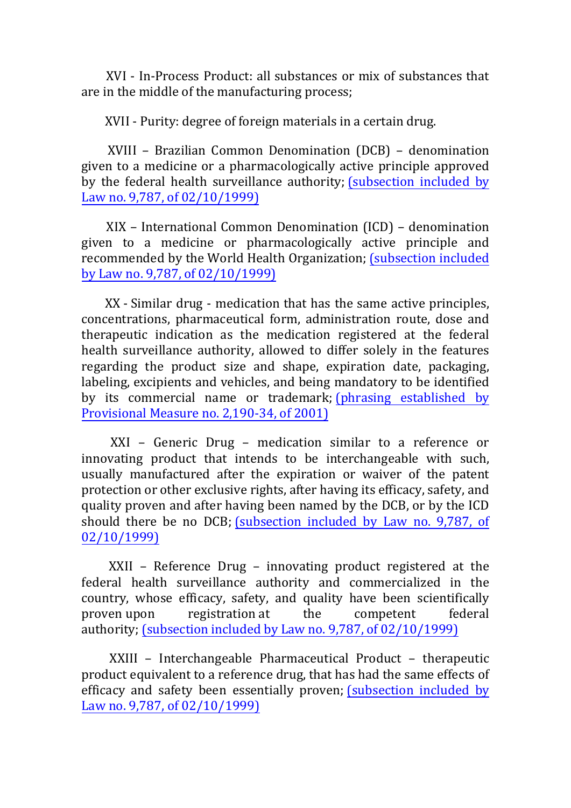XVI - In-Process Product: all substances or mix of substances that are in the middle of the manufacturing process;

XVII - Purity: degree of foreign materials in a certain drug.

 XVIII – Brazilian Common Denomination (DCB) – denomination given to a medicine or a pharmacologically active principle approved by the federal health surveillance authority; (subsection included by [Law no. 9,787, of 02/10/1999\)](http://www.planalto.gov.br/ccivil_03/leis/L9787.htm%23art1)

 XIX – International Common Denomination (ICD) – denomination given to a medicine or pharmacologically active principle and recommended by the World Health Organization; [\(subsection included](http://www.planalto.gov.br/ccivil_03/leis/L9787.htm%23art1)  [by Law no. 9,787, of 02/10/1999\)](http://www.planalto.gov.br/ccivil_03/leis/L9787.htm%23art1)

 XX - Similar drug - medication that has the same active principles, concentrations, pharmaceutical form, administration route, dose and therapeutic indication as the medication registered at the federal health surveillance authority, allowed to differ solely in the features regarding the product size and shape, expiration date, packaging, labeling, excipients and vehicles, and being mandatory to be identified by its commercial name or trademark; (phrasing established by [Provisional Measure no. 2,190-34, of 2001\)](http://www.planalto.gov.br/ccivil_03/MPV/2190-34.htm%23art9)

 XXI – Generic Drug – medication similar to a reference or innovating product that intends to be interchangeable with such, usually manufactured after the expiration or waiver of the patent protection or other exclusive rights, after having its efficacy, safety, and quality proven and after having been named by the DCB, or by the ICD should there be no DCB; [\(subsection included by Law no. 9,787, of](http://www.planalto.gov.br/ccivil_03/leis/L9787.htm%23art1)  [02/10/1999\)](http://www.planalto.gov.br/ccivil_03/leis/L9787.htm%23art1)

 XXII – Reference Drug – innovating product registered at the federal health surveillance authority and commercialized in the country, whose efficacy, safety, and quality have been scientifically<br>proven upon registration at the competent federal proven upon registration at the competent federal authority; <u>[\(subsection included by Law no. 9,787, of 02/10/1999\)](http://www.planalto.gov.br/ccivil_03/leis/L9787.htm%23art1)</u>

 XXIII – Interchangeable Pharmaceutical Product – therapeutic product equivalent to a reference drug, that has had the same effects of efficacy and safety been essentially proven; [\(subsection included by](http://www.planalto.gov.br/ccivil_03/leis/L9787.htm%23art1)  [Law no. 9,787, of 02/10/1999\)](http://www.planalto.gov.br/ccivil_03/leis/L9787.htm%23art1)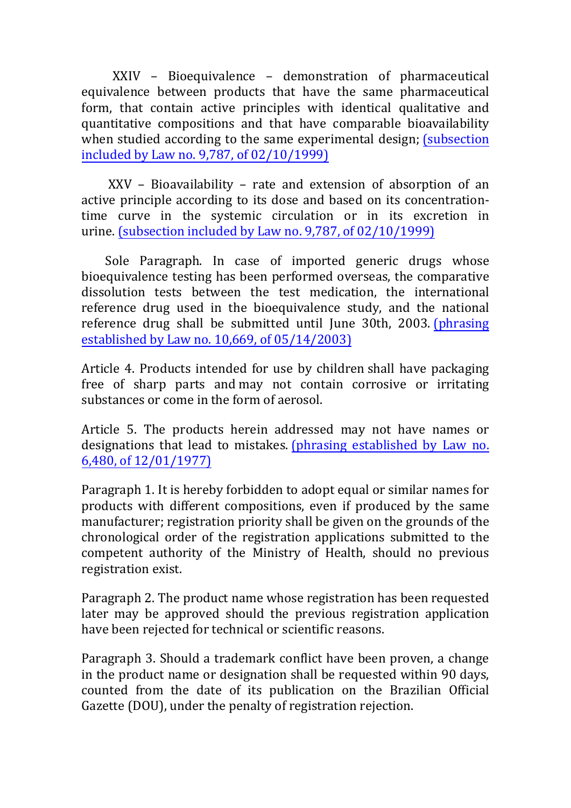XXIV – Bioequivalence – demonstration of pharmaceutical equivalence between products that have the same pharmaceutical form, that contain active principles with identical qualitative and quantitative compositions and that have comparable bioavailability when studied according to the same experimental design; (subsection [included by Law no. 9,787, of 02/10/1999\)](http://www.planalto.gov.br/ccivil_03/leis/L9787.htm%23art1)

 XXV – Bioavailability – rate and extension of absorption of an active principle according to its dose and based on its concentrationtime curve in the systemic circulation or in its excretion in urine. [\(subsection included by Law no. 9,787, of 02/10/1999\)](http://www.planalto.gov.br/ccivil_03/leis/L9787.htm%23art1)

 Sole Paragraph. In case of imported generic drugs whose bioequivalence testing has been performed overseas, the comparative dissolution tests between the test medication, the international reference drug used in the bioequivalence study, and the national reference drug shall be submitted until June 30th, 2003. [\(phrasing](http://www.planalto.gov.br/ccivil_03/leis/2003/L10.669.htm)  [established by Law no. 10,669, of 05/14/2003\)](http://www.planalto.gov.br/ccivil_03/leis/2003/L10.669.htm)

Article 4. Products intended for use by children shall have packaging free of sharp parts and may not contain corrosive or irritating substances or come in the form of aerosol.

Article 5. The products herein addressed may not have names or designations that lead to mistakes. [\(phrasing established by Law no.](http://www.planalto.gov.br/ccivil_03/leis/L6480.htm%23art1)  [6,480, of 12/01/1977\)](http://www.planalto.gov.br/ccivil_03/leis/L6480.htm%23art1)

Paragraph 1. It is hereby forbidden to adopt equal or similar names for products with different compositions, even if produced by the same manufacturer; registration priority shall be given on the grounds of the chronological order of the registration applications submitted to the competent authority of the Ministry of Health, should no previous registration exist.

Paragraph 2. The product name whose registration has been requested later may be approved should the previous registration application have been rejected for technical or scientific reasons.

Paragraph 3. Should a trademark conflict have been proven, a change in the product name or designation shall be requested within 90 days, counted from the date of its publication on the Brazilian Official Gazette (DOU), under the penalty of registration rejection.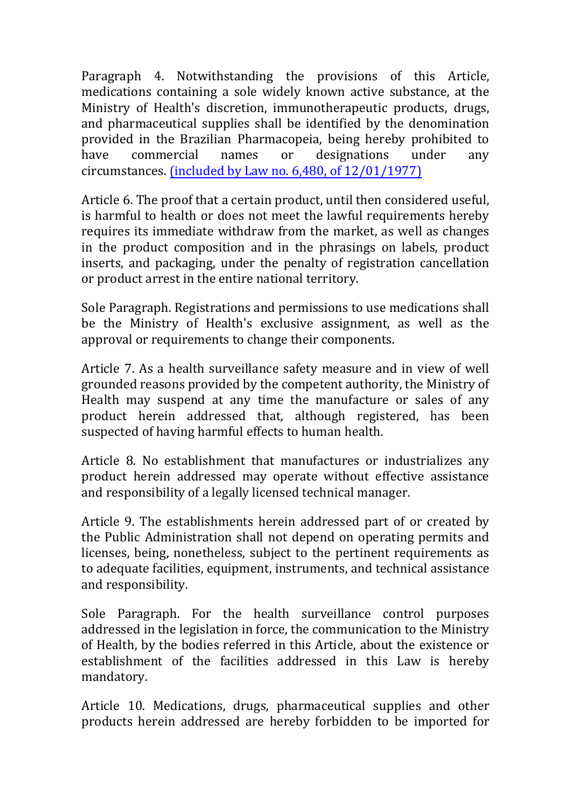Paragraph 4. Notwithstanding the provisions of this Article, medications containing a sole widely known active substance, at the Ministry of Health's discretion, immunotherapeutic products, drugs, and pharmaceutical supplies shall be identified by the denomination provided in the Brazilian Pharmacopeia, being hereby prohibited to designations under any circumstances. [\(included by Law no. 6,480, of 12/01/1977\)](http://www.planalto.gov.br/ccivil_03/leis/L6480.htm%23art2)

Article 6. The proof that a certain product, until then considered useful, is harmful to health or does not meet the lawful requirements hereby requires its immediate withdraw from the market, as well as changes in the product composition and in the phrasings on labels, product inserts, and packaging, under the penalty of registration cancellation or product arrest in the entire national territory.

Sole Paragraph. Registrations and permissions to use medications shall be the Ministry of Health's exclusive assignment, as well as the approval or requirements to change their components.

Article 7. As a health surveillance safety measure and in view of well grounded reasons provided by the competent authority, the Ministry of Health may suspend at any time the manufacture or sales of any product herein addressed that, although registered, has been suspected of having harmful effects to human health.

Article 8. No establishment that manufactures or industrializes any product herein addressed may operate without effective assistance and responsibility of a legally licensed technical manager.

Article 9. The establishments herein addressed part of or created by the Public Administration shall not depend on operating permits and licenses, being, nonetheless, subject to the pertinent requirements as to adequate facilities, equipment, instruments, and technical assistance and responsibility.

Sole Paragraph. For the health surveillance control purposes addressed in the legislation in force, the communication to the Ministry of Health, by the bodies referred in this Article, about the existence or establishment of the facilities addressed in this Law is hereby mandatory.

Article 10. Medications, drugs, pharmaceutical supplies and other products herein addressed are hereby forbidden to be imported for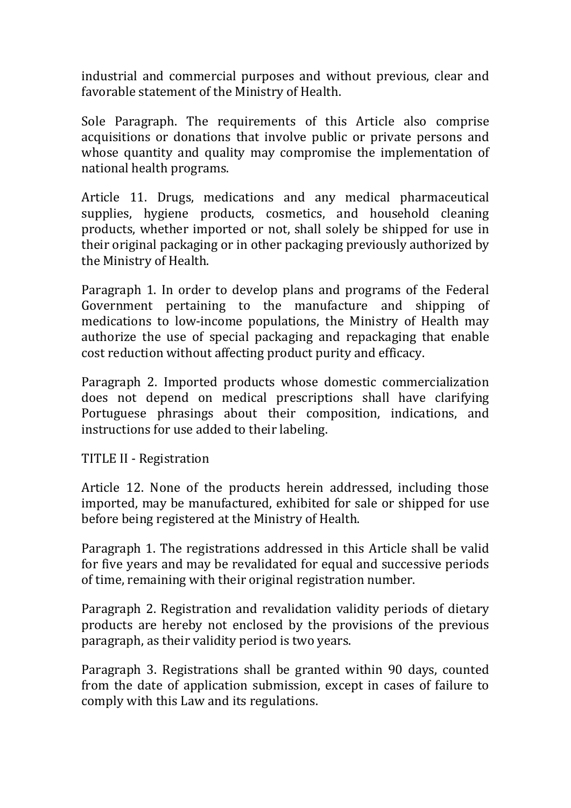industrial and commercial purposes and without previous, clear and favorable statement of the Ministry of Health.

Sole Paragraph. The requirements of this Article also comprise acquisitions or donations that involve public or private persons and whose quantity and quality may compromise the implementation of national health programs.

Article 11. Drugs, medications and any medical pharmaceutical supplies, hygiene products, cosmetics, and household cleaning products, whether imported or not, shall solely be shipped for use in their original packaging or in other packaging previously authorized by the Ministry of Health.

Paragraph 1. In order to develop plans and programs of the Federal Government pertaining to the manufacture and shipping of medications to low-income populations, the Ministry of Health may authorize the use of special packaging and repackaging that enable cost reduction without affecting product purity and efficacy.

Paragraph 2. Imported products whose domestic commercialization does not depend on medical prescriptions shall have clarifying Portuguese phrasings about their composition, indications, and instructions for use added to their labeling.

TITLE II - Registration

Article 12. None of the products herein addressed, including those imported, may be manufactured, exhibited for sale or shipped for use before being registered at the Ministry of Health.

Paragraph 1. The registrations addressed in this Article shall be valid for five years and may be revalidated for equal and successive periods of time, remaining with their original registration number.

Paragraph 2. Registration and revalidation validity periods of dietary products are hereby not enclosed by the provisions of the previous paragraph, as their validity period is two years.

Paragraph 3. Registrations shall be granted within 90 days, counted from the date of application submission, except in cases of failure to comply with this Law and its regulations.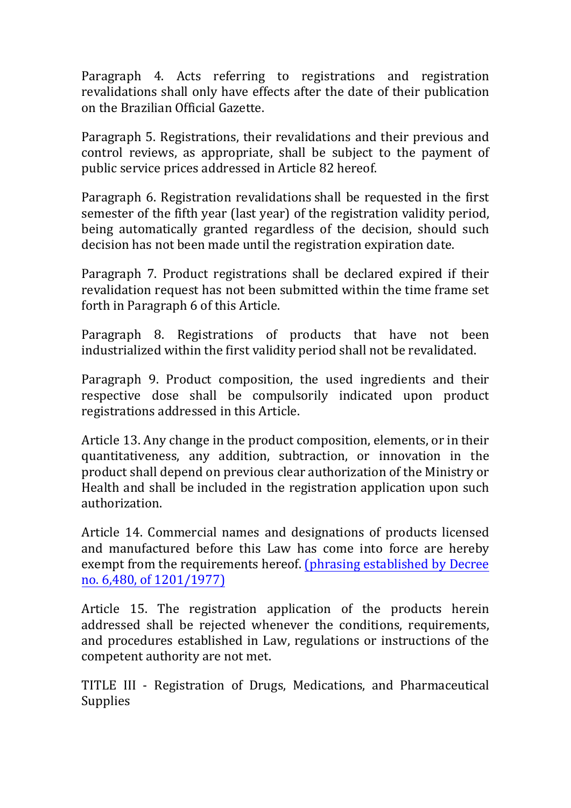Paragraph 4. Acts referring to registrations and registration revalidations shall only have effects after the date of their publication on the Brazilian Official Gazette.

Paragraph 5. Registrations, their revalidations and their previous and control reviews, as appropriate, shall be subject to the payment of public service prices addressed in Article 82 hereof.

Paragraph 6. Registration revalidations shall be requested in the first semester of the fifth year (last year) of the registration validity period, being automatically granted regardless of the decision, should such decision has not been made until the registration expiration date.

Paragraph 7. Product registrations shall be declared expired if their revalidation request has not been submitted within the time frame set forth in Paragraph 6 of this Article.

Paragraph 8. Registrations of products that have not been industrialized within the first validity period shall not be revalidated.

Paragraph 9. Product composition, the used ingredients and their respective dose shall be compulsorily indicated upon product registrations addressed in this Article.

Article 13. Any change in the product composition, elements, or in their quantitativeness, any addition, subtraction, or innovation in the product shall depend on previous clear authorization of the Ministry or Health and shall be included in the registration application upon such authorization.

Article 14. Commercial names and designations of products licensed and manufactured before this Law has come into force are hereby exempt from the requirements hereof. (phrasing established by Decree [no. 6,480, of 1201/1977\)](http://www.planalto.gov.br/ccivil_03/leis/L6480.htm%23art3)

Article 15. The registration application of the products herein addressed shall be rejected whenever the conditions, requirements, and procedures established in Law, regulations or instructions of the competent authority are not met.

TITLE III - Registration of Drugs, Medications, and Pharmaceutical Supplies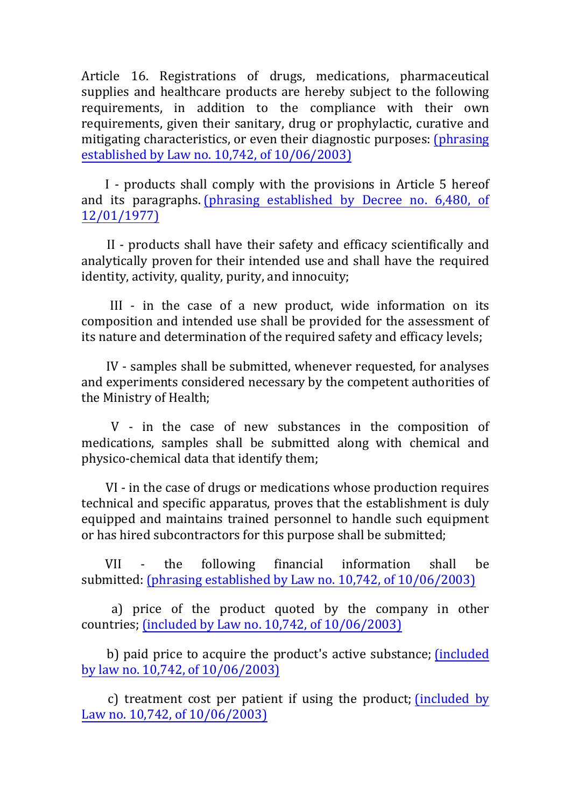Article 16. Registrations of drugs, medications, pharmaceutical supplies and healthcare products are hereby subject to the following requirements, in addition to the compliance with their own requirements, given their sanitary, drug or prophylactic, curative and mitigating characteristics, or even their diagnostic purposes: [\(phrasing](http://www.planalto.gov.br/ccivil_03/leis/2003/L10.742.htm%23art16)  [established by Law no. 10,742, of 10/06/2003\)](http://www.planalto.gov.br/ccivil_03/leis/2003/L10.742.htm%23art16)

 I - products shall comply with the provisions in Article 5 hereof and its paragraphs. [\(phrasing established by Decree no. 6,480, of](http://www.planalto.gov.br/ccivil_03/leis/L6480.htm%23art4)  [12/01/1977\)](http://www.planalto.gov.br/ccivil_03/leis/L6480.htm%23art4)

 II - products shall have their safety and efficacy scientifically and analytically proven for their intended use and shall have the required identity, activity, quality, purity, and innocuity;

 III - in the case of a new product, wide information on its composition and intended use shall be provided for the assessment of its nature and determination of the required safety and efficacy levels;

 IV - samples shall be submitted, whenever requested, for analyses and experiments considered necessary by the competent authorities of the Ministry of Health;

 V - in the case of new substances in the composition of medications, samples shall be submitted along with chemical and physico-chemical data that identify them;

 VI - in the case of drugs or medications whose production requires technical and specific apparatus, proves that the establishment is duly equipped and maintains trained personnel to handle such equipment or has hired subcontractors for this purpose shall be submitted;

 VII - the following financial information shall be submitted: [\(phrasing established by Law no.](http://www.planalto.gov.br/ccivil_03/leis/2003/L10.742.htm%23art16vii) 10,742, of 10/06/2003)

a) price of the product quoted by the company in other countries; [\(included by Law no. 10,742,](http://www.planalto.gov.br/ccivil_03/leis/2003/L10.742.htm%23art16vii) of 10/06/2003)

b) paid price to acquire the product's active substance; [\(included](http://www.planalto.gov.br/ccivil_03/leis/2003/L10.742.htm%23art16vii) by law no. [10,742, of 10/06/2003\)](http://www.planalto.gov.br/ccivil_03/leis/2003/L10.742.htm%23art16vii)

c) treatment cost per patient if using the product; [\(included by](http://www.planalto.gov.br/ccivil_03/leis/2003/L10.742.htm%23art16vii) [Law no. 10,742, of](http://www.planalto.gov.br/ccivil_03/leis/2003/L10.742.htm%23art16vii) 10/06/2003)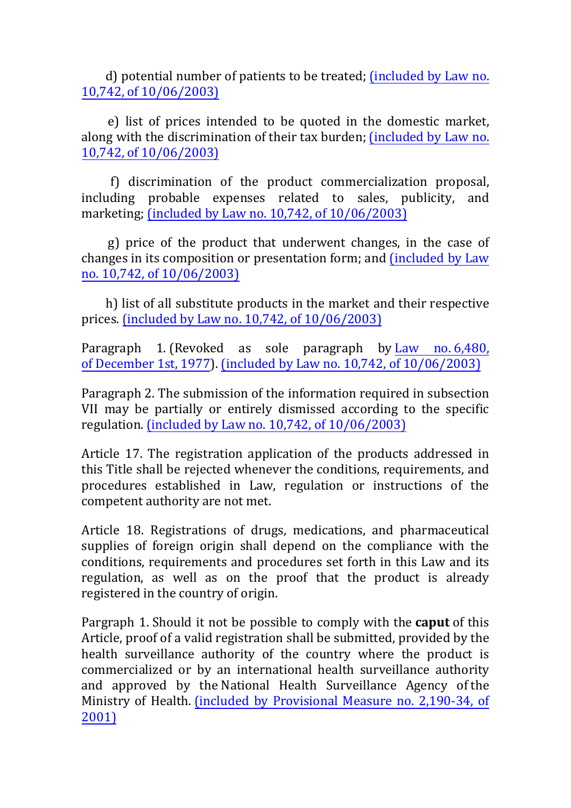d) potential number of patients to be treated; [\(included by Law no.](http://www.planalto.gov.br/ccivil_03/leis/2003/L10.742.htm%23art16vii) 10,742, of [10/06/2003\)](http://www.planalto.gov.br/ccivil_03/leis/2003/L10.742.htm%23art16vii)

e) list of prices intended to be quoted in the domestic market, along with the discrimination of their tax burden; [\(included by Law no.](http://www.planalto.gov.br/ccivil_03/leis/2003/L10.742.htm%23art16vii)  [10,742, of 10/06/2003\)](http://www.planalto.gov.br/ccivil_03/leis/2003/L10.742.htm%23art16vii)

f) discrimination of the product commercialization proposal, including probable expenses related to marketing; [\(included by Law no. 10,742, of 10/06/2003\)](http://www.planalto.gov.br/ccivil_03/leis/2003/L10.742.htm%23art16vii)

g) price of the product that underwent changes, in the case of changes in its composition or presentation form; and [\(included by Law](http://www.planalto.gov.br/ccivil_03/leis/2003/L10.742.htm%23art16vii)  [no. 10,742, of 10/06/2003\)](http://www.planalto.gov.br/ccivil_03/leis/2003/L10.742.htm%23art16vii)

h) list of all substitute products in the market and their respective prices. [\(included by Law no. 10,742, of](http://www.planalto.gov.br/ccivil_03/leis/2003/L10.742.htm%23art16vii) 10/06/2003)

Paragraph 1. (Revoked as sole paragraph by [Law no.](http://www.planalto.gov.br/ccivil_03/leis/L6480.htm) 6,480, of [December 1st, 1977\)](http://www.planalto.gov.br/ccivil_03/leis/L6480.htm). (included by Law no. [10,742, of 10/06/2003\)](http://www.planalto.gov.br/ccivil_03/leis/2003/L10.742.htm%23art16vii)

Paragraph 2. The submission of the information required in subsection VII may be partially or entirely dismissed according to the specific regulation. [\(included by Law no. 10,742, of 10/06/2003\)](http://www.planalto.gov.br/ccivil_03/leis/2003/L10.742.htm%23art16vii)

Article 17. The registration application of the products addressed in this Title shall be rejected whenever the conditions, requirements, and procedures established in Law, regulation or instructions of the competent authority are not met.

Article 18. Registrations of drugs, medications, and pharmaceutical supplies of foreign origin shall depend on the compliance with the conditions, requirements and procedures set forth in this Law and its regulation, as well as on the proof that the product is already registered in the country of origin.

Pargraph 1. Should it not be possible to comply with the **caput** of this Article, proof of a valid registration shall be submitted, provided by the health surveillance authority of the country where the product is commercialized or by an international health surveillance authority and approved by the National Health Surveillance Agency of the Ministry of Health. [\(included by Provisional Measure no. 2,190-34, of](http://www.planalto.gov.br/ccivil_03/MPV/2190-34.htm%23art9)  [2001\)](http://www.planalto.gov.br/ccivil_03/MPV/2190-34.htm%23art9)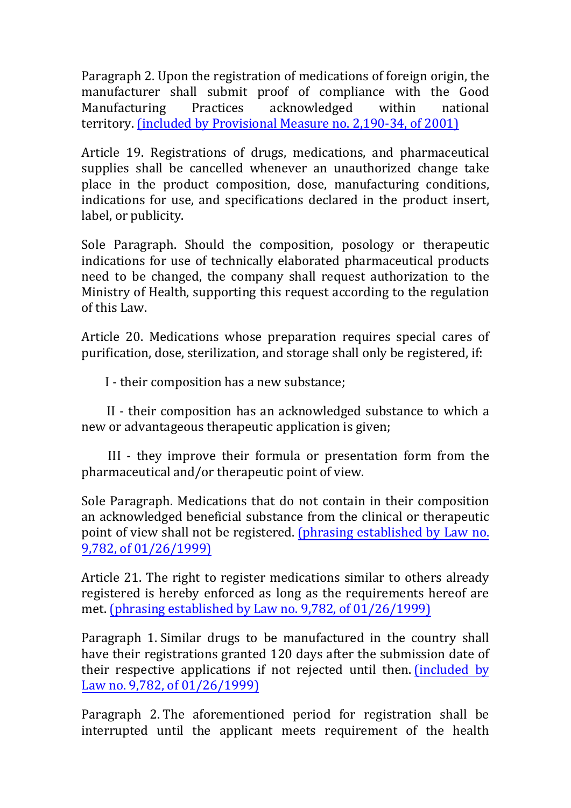Paragraph 2. Upon the registration of medications of foreign origin, the manufacturer shall submit proof of compliance with the Good Manufacturing territory. [\(included by Provisional Measure no. 2,190-34, of 2001\)](http://www.planalto.gov.br/ccivil_03/MPV/2190-34.htm%23art9)

Article 19. Registrations of drugs, medications, and pharmaceutical supplies shall be cancelled whenever an unauthorized change take place in the product composition, dose, manufacturing conditions, indications for use, and specifications declared in the product insert, label, or publicity.

Sole Paragraph. Should the composition, posology or therapeutic indications for use of technically elaborated pharmaceutical products need to be changed, the company shall request authorization to the Ministry of Health, supporting this request according to the regulation of this Law.

Article 20. Medications whose preparation requires special cares of purification, dose, sterilization, and storage shall only be registered, if:

I - their composition has a new substance;

 II - their composition has an acknowledged substance to which a new or advantageous therapeutic application is given;

 III - they improve their formula or presentation form from the pharmaceutical and/or therapeutic point of view.

Sole Paragraph. Medications that do not contain in their composition an acknowledged beneficial substance from the clinical or therapeutic point of view shall not be registered. [\(phrasing established by Law no.](http://www.planalto.gov.br/ccivil_03/leis/L9782.htm%23art44)  [9,782, of 01/26/1999\)](http://www.planalto.gov.br/ccivil_03/leis/L9782.htm%23art44)

Article 21. The right to register medications similar to others already registered is hereby enforced as long as the requirements hereof are met. [\(phrasing established by Law no. 9,782, of 01/26/1999\)](http://www.planalto.gov.br/ccivil_03/leis/L9782.htm%23art21)

Paragraph 1. Similar drugs to be manufactured in the country shall have their registrations granted 120 days after the submission date of their respective applications if not rejected until then. [\(included by](http://www.planalto.gov.br/ccivil_03/leis/L9782.htm%23art21)  [Law no. 9,782, of 01/26/1999\)](http://www.planalto.gov.br/ccivil_03/leis/L9782.htm%23art21)

Paragraph 2. The aforementioned period for registration shall be interrupted until the applicant meets requirement of the health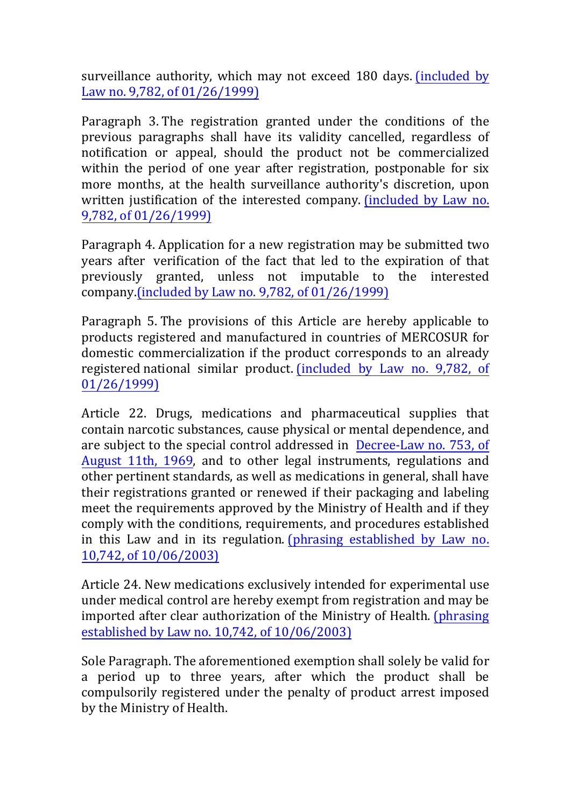surveillance authority, which may not exceed 180 days. *[\(included by](http://www.planalto.gov.br/ccivil_03/leis/L9782.htm%23art21)* [Law no. 9,782, of 01/26/1999\)](http://www.planalto.gov.br/ccivil_03/leis/L9782.htm%23art21)

Paragraph 3. The registration granted under the conditions of the previous paragraphs shall have its validity cancelled, regardless of notification or appeal, should the product not be commercialized within the period of one year after registration, postponable for six more months, at the health surveillance authority's discretion, upon written justification of the interested company. [\(included by Law no.](http://www.planalto.gov.br/ccivil_03/leis/L9782.htm%23art21)  [9,782, of 01/26/1999\)](http://www.planalto.gov.br/ccivil_03/leis/L9782.htm%23art21)

Paragraph 4. Application for a new registration may be submitted two years after verification of the fact that led to the expiration of that previously granted, unless not imputable to the interested company[.\(included by Law no. 9,782, of 01/26/1999\)](http://www.planalto.gov.br/ccivil_03/leis/L9782.htm%23art21)

Paragraph 5. The provisions of this Article are hereby applicable to products registered and manufactured in countries of MERCOSUR for domestic commercialization if the product corresponds to an already registered national similar product. [\(included by Law no. 9,782, of](http://www.planalto.gov.br/ccivil_03/leis/L9782.htm%23art21)  [01/26/1999\)](http://www.planalto.gov.br/ccivil_03/leis/L9782.htm%23art21)

Article 22. Drugs, medications and pharmaceutical supplies that contain narcotic substances, cause physical or mental dependence, and are subject to the special control addressed in [Decree-Law no. 753, of](http://www.planalto.gov.br/ccivil_03/Decreto-Lei/1965-1988/Del0753.htm)  [August 11th, 1969,](http://www.planalto.gov.br/ccivil_03/Decreto-Lei/1965-1988/Del0753.htm) and to other legal instruments, regulations and other pertinent standards, as well as medications in general, shall have their registrations granted or renewed if their packaging and labeling meet the requirements approved by the Ministry of Health and if they comply with the conditions, requirements, and procedures established in this Law and in its regulation. [\(phrasing established by Law no.](http://www.planalto.gov.br/ccivil_03/leis/2003/L10.742.htm%23art22)  [10,742, of 10/06/2003\)](http://www.planalto.gov.br/ccivil_03/leis/2003/L10.742.htm%23art22)

Article 24. New medications exclusively intended for experimental use under medical control are hereby exempt from registration and may be imported after clear authorization of the Ministry of Health. [\(phrasing](http://www.planalto.gov.br/ccivil_03/leis/2003/L10.742.htm%23art24)  [established by Law no. 10,742, of 10/06/2003\)](http://www.planalto.gov.br/ccivil_03/leis/2003/L10.742.htm%23art24)

Sole Paragraph. The aforementioned exemption shall solely be valid for a period up to three years, after which the product shall be compulsorily registered under the penalty of product arrest imposed by the Ministry of Health.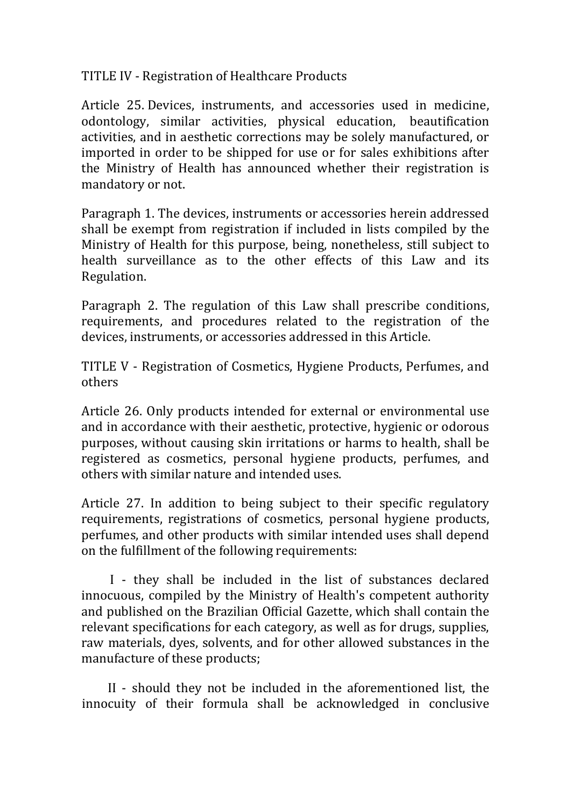TITLE IV - Registration of Healthcare Products

Article 25. Devices, instruments, and accessories used in medicine, odontology, similar activities, physical education, beautification activities, and in aesthetic corrections may be solely manufactured, or imported in order to be shipped for use or for sales exhibitions after the Ministry of Health has announced whether their registration is mandatory or not.

Paragraph 1. The devices, instruments or accessories herein addressed shall be exempt from registration if included in lists compiled by the Ministry of Health for this purpose, being, nonetheless, still subject to health surveillance as to the other effects of this Law and its Regulation.

Paragraph 2. The regulation of this Law shall prescribe conditions, requirements, and procedures related to the registration of the devices, instruments, or accessories addressed in this Article.

TITLE V - Registration of Cosmetics, Hygiene Products, Perfumes, and others

Article 26. Only products intended for external or environmental use and in accordance with their aesthetic, protective, hygienic or odorous purposes, without causing skin irritations or harms to health, shall be registered as cosmetics, personal hygiene products, perfumes, and others with similar nature and intended uses.

Article 27. In addition to being subject to their specific regulatory requirements, registrations of cosmetics, personal hygiene products, perfumes, and other products with similar intended uses shall depend on the fulfillment of the following requirements:

 I - they shall be included in the list of substances declared innocuous, compiled by the Ministry of Health's competent authority and published on the Brazilian Official Gazette, which shall contain the relevant specifications for each category, as well as for drugs, supplies, raw materials, dyes, solvents, and for other allowed substances in the manufacture of these products;

 II - should they not be included in the aforementioned list, the innocuity of their formula shall be acknowledged in conclusive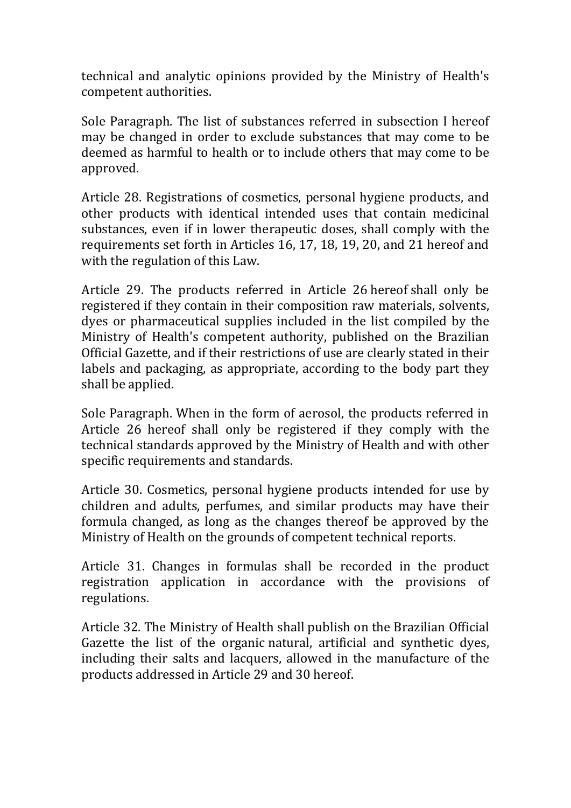technical and analytic opinions provided by the Ministry of Health's competent authorities.

Sole Paragraph. The list of substances referred in subsection I hereof may be changed in order to exclude substances that may come to be deemed as harmful to health or to include others that may come to be approved.

Article 28. Registrations of cosmetics, personal hygiene products, and other products with identical intended uses that contain medicinal substances, even if in lower therapeutic doses, shall comply with the requirements set forth in Articles 16, 17, 18, 19, 20, and 21 hereof and with the regulation of this Law.

Article 29. The products referred in Article 26 hereof shall only be registered if they contain in their composition raw materials, solvents, dyes or pharmaceutical supplies included in the list compiled by the Ministry of Health's competent authority, published on the Brazilian Official Gazette, and if their restrictions of use are clearly stated in their labels and packaging, as appropriate, according to the body part they shall be applied.

Sole Paragraph. When in the form of aerosol, the products referred in Article 26 hereof shall only be registered if they comply with the technical standards approved by the Ministry of Health and with other specific requirements and standards.

Article 30. Cosmetics, personal hygiene products intended for use by children and adults, perfumes, and similar products may have their formula changed, as long as the changes thereof be approved by the Ministry of Health on the grounds of competent technical reports.

Article 31. Changes in formulas shall be recorded in the product registration application in accordance with the provisions of regulations.

Article 32. The Ministry of Health shall publish on the Brazilian Official Gazette the list of the organic natural, artificial and synthetic dyes, including their salts and lacquers, allowed in the manufacture of the products addressed in Article 29 and 30 hereof.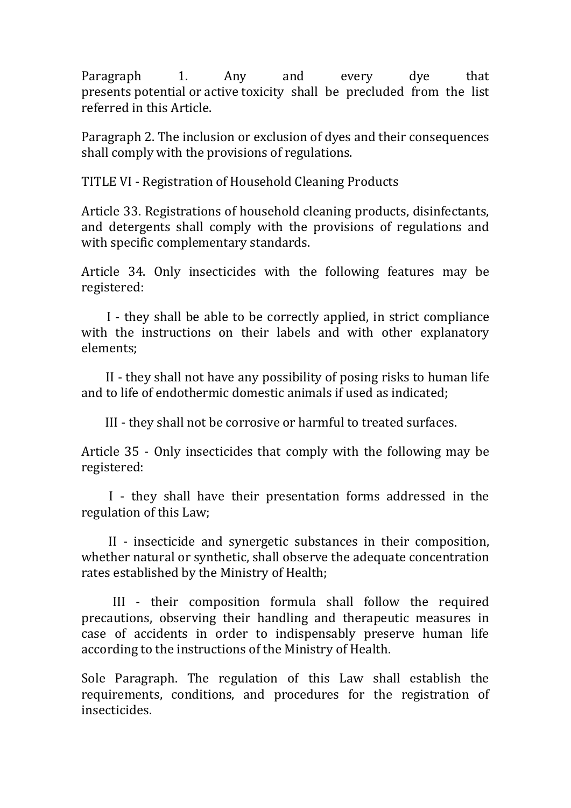Paragraph 1. Any and every dye that presents potential or active toxicity shall be precluded from the list referred in this Article.

Paragraph 2. The inclusion or exclusion of dyes and their consequences shall comply with the provisions of regulations.

TITLE VI - Registration of Household Cleaning Products

Article 33. Registrations of household cleaning products, disinfectants, and detergents shall comply with the provisions of regulations and with specific complementary standards.

Article 34. Only insecticides with the following features may be registered:

 I - they shall be able to be correctly applied, in strict compliance with the instructions on their labels and with other explanatory elements;

 II - they shall not have any possibility of posing risks to human life and to life of endothermic domestic animals if used as indicated;

III - they shall not be corrosive or harmful to treated surfaces.

Article 35 - Only insecticides that comply with the following may be registered:

 I - they shall have their presentation forms addressed in the regulation of this Law;

 II - insecticide and synergetic substances in their composition, whether natural or synthetic, shall observe the adequate concentration rates established by the Ministry of Health;

 III - their composition formula shall follow the required precautions, observing their handling and therapeutic measures in case of accidents in order to indispensably preserve human life according to the instructions of the Ministry of Health.

Sole Paragraph. The regulation of this Law shall establish the requirements, conditions, and procedures for the registration of insecticides.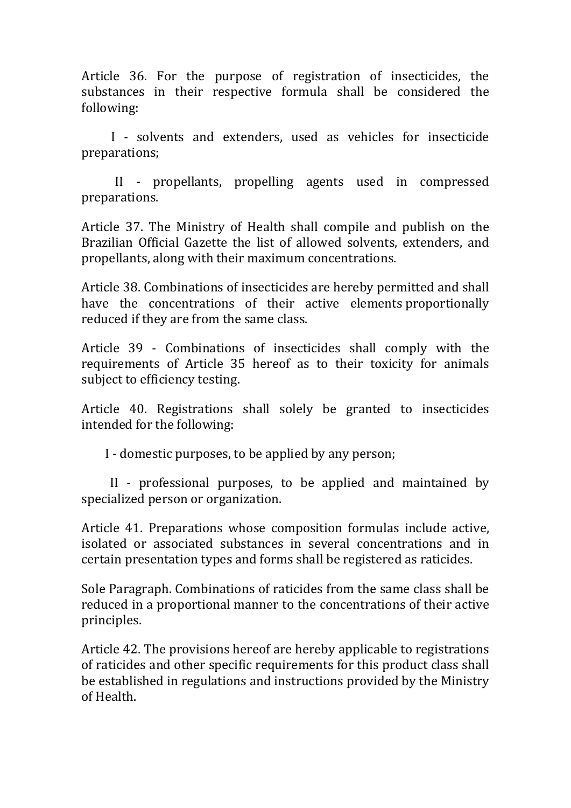Article 36. For the purpose of registration of insecticides, the substances in their respective formula shall be considered the following:

 I - solvents and extenders, used as vehicles for insecticide preparations;

 II - propellants, propelling agents used in compressed preparations.

Article 37. The Ministry of Health shall compile and publish on the Brazilian Official Gazette the list of allowed solvents, extenders, and propellants, along with their maximum concentrations.

Article 38. Combinations of insecticides are hereby permitted and shall have the concentrations of their active elements proportionally reduced if they are from the same class.

Article 39 - Combinations of insecticides shall comply with the requirements of Article 35 hereof as to their toxicity for animals subject to efficiency testing.

Article 40. Registrations shall solely be granted to insecticides intended for the following:

I - domestic purposes, to be applied by any person;

 II - professional purposes, to be applied and maintained by specialized person or organization.

Article 41. Preparations whose composition formulas include active, isolated or associated substances in several concentrations and in certain presentation types and forms shall be registered as raticides.

Sole Paragraph. Combinations of raticides from the same class shall be reduced in a proportional manner to the concentrations of their active principles.

Article 42. The provisions hereof are hereby applicable to registrations of raticides and other specific requirements for this product class shall be established in regulations and instructions provided by the Ministry of Health.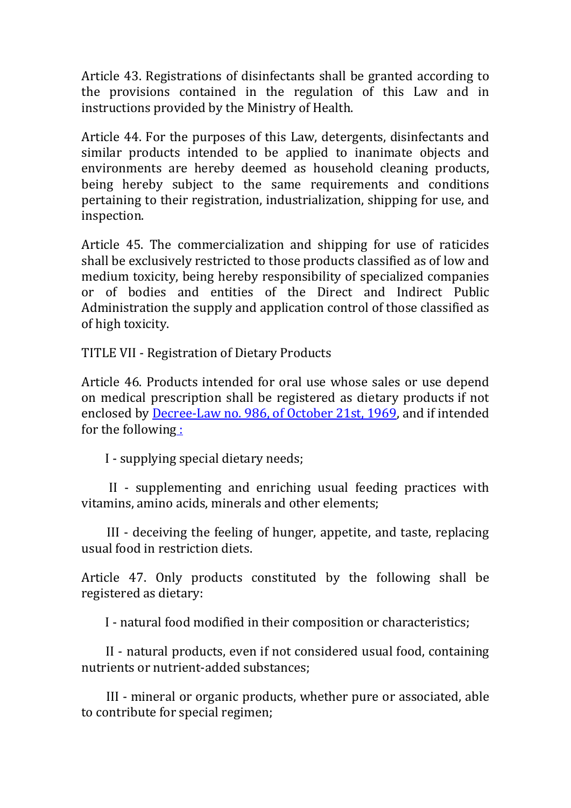Article 43. Registrations of disinfectants shall be granted according to the provisions contained in the regulation of this Law and in instructions provided by the Ministry of Health.

Article 44. For the purposes of this Law, detergents, disinfectants and similar products intended to be applied to inanimate objects and environments are hereby deemed as household cleaning products, being hereby subject to the same requirements and conditions pertaining to their registration, industrialization, shipping for use, and inspection.

Article 45. The commercialization and shipping for use of raticides shall be exclusively restricted to those products classified as of low and medium toxicity, being hereby responsibility of specialized companies or of bodies and entities of the Direct and Indirect Public Administration the supply and application control of those classified as of high toxicity.

TITLE VII - Registration of Dietary Products

Article 46. Products intended for oral use whose sales or use depend on medical prescription shall be registered as dietary products if not enclosed by [Decree-Law no. 986, of October 21st, 1969,](http://www.planalto.gov.br/ccivil_03/Decreto-Lei/Del0986.htm) and if intended for the following:

I - supplying special dietary needs;

 II - supplementing and enriching usual feeding practices with vitamins, amino acids, minerals and other elements;

 III - deceiving the feeling of hunger, appetite, and taste, replacing usual food in restriction diets.

Article 47. Only products constituted by the following shall be registered as dietary:

I - natural food modified in their composition or characteristics;

 II - natural products, even if not considered usual food, containing nutrients or nutrient-added substances;

 III - mineral or organic products, whether pure or associated, able to contribute for special regimen;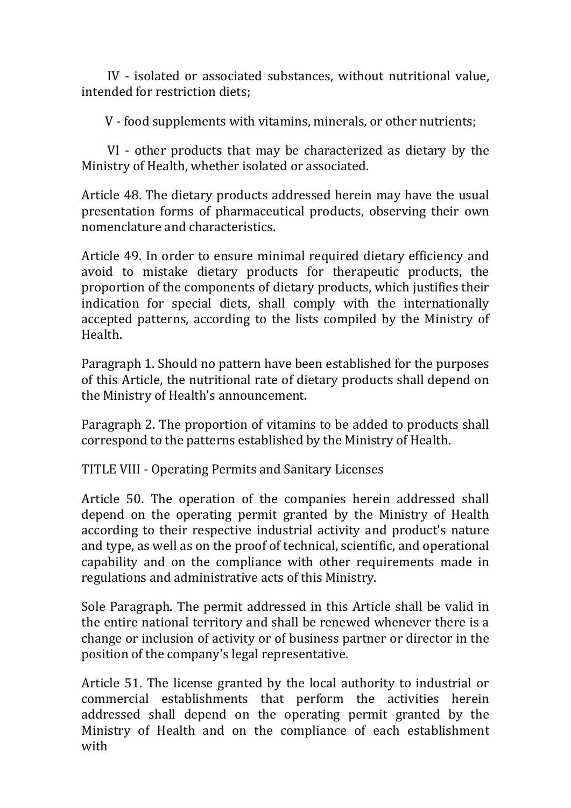IV - isolated or associated substances, without nutritional value, intended for restriction diets;

V - food supplements with vitamins, minerals, or other nutrients;

 VI - other products that may be characterized as dietary by the Ministry of Health, whether isolated or associated.

Article 48. The dietary products addressed herein may have the usual presentation forms of pharmaceutical products, observing their own nomenclature and characteristics.

Article 49. In order to ensure minimal required dietary efficiency and avoid to mistake dietary products for therapeutic products, the proportion of the components of dietary products, which justifies their indication for special diets, shall comply with the internationally accepted patterns, according to the lists compiled by the Ministry of Health.

Paragraph 1. Should no pattern have been established for the purposes of this Article, the nutritional rate of dietary products shall depend on the Ministry of Health's announcement.

Paragraph 2. The proportion of vitamins to be added to products shall correspond to the patterns established by the Ministry of Health.

TITLE VIII - Operating Permits and Sanitary Licenses

Article 50. The operation of the companies herein addressed shall depend on the operating permit granted by the Ministry of Health according to their respective industrial activity and product's nature and type, as well as on the proof of technical, scientific, and operational capability and on the compliance with other requirements made in regulations and administrative acts of this Ministry.

Sole Paragraph. The permit addressed in this Article shall be valid in the entire national territory and shall be renewed whenever there is a change or inclusion of activity or of business partner or director in the position of the company's legal representative.

Article 51. The license granted by the local authority to industrial or commercial establishments that perform the activities herein addressed shall depend on the operating permit granted by the Ministry of Health and on the compliance of each establishment with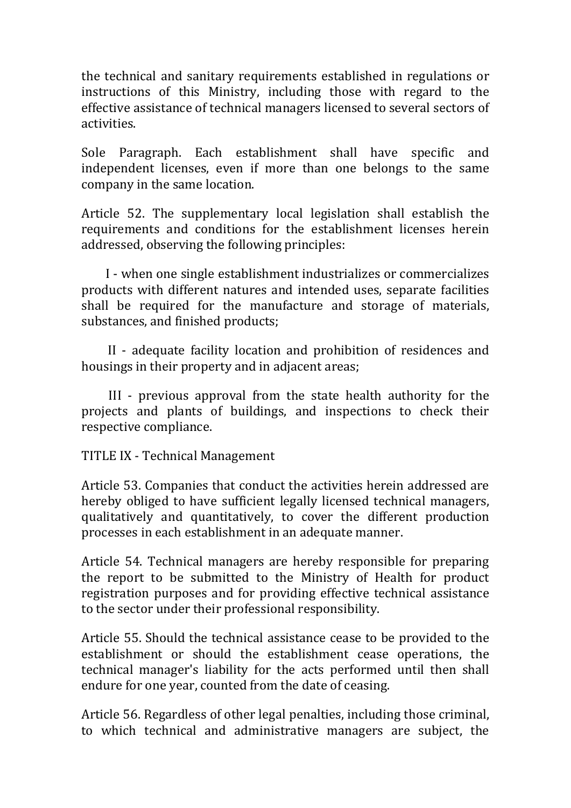the technical and sanitary requirements established in regulations or instructions of this Ministry, including those with regard to the effective assistance of technical managers licensed to several sectors of activities.

Sole Paragraph. Each establishment shall have specific and independent licenses, even if more than one belongs to the same company in the same location.

Article 52. The supplementary local legislation shall establish the requirements and conditions for the establishment licenses herein addressed, observing the following principles:

 I - when one single establishment industrializes or commercializes products with different natures and intended uses, separate facilities shall be required for the manufacture and storage of materials, substances, and finished products;

 II - adequate facility location and prohibition of residences and housings in their property and in adjacent areas;

 III - previous approval from the state health authority for the projects and plants of buildings, and inspections to check their respective compliance.

TITLE IX - Technical Management

Article 53. Companies that conduct the activities herein addressed are hereby obliged to have sufficient legally licensed technical managers, qualitatively and quantitatively, to cover the different production processes in each establishment in an adequate manner.

Article 54. Technical managers are hereby responsible for preparing the report to be submitted to the Ministry of Health for product registration purposes and for providing effective technical assistance to the sector under their professional responsibility.

Article 55. Should the technical assistance cease to be provided to the establishment or should the establishment cease operations, the technical manager's liability for the acts performed until then shall endure for one year, counted from the date of ceasing.

Article 56. Regardless of other legal penalties, including those criminal, to which technical and administrative managers are subject, the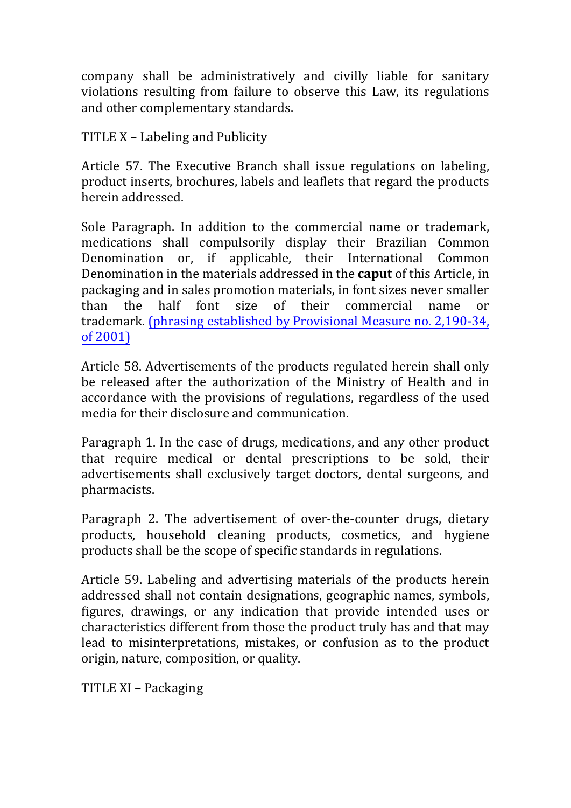company shall be administratively and civilly liable for sanitary violations resulting from failure to observe this Law, its regulations and other complementary standards.

TITLE X – Labeling and Publicity

Article 57. The Executive Branch shall issue regulations on labeling, product inserts, brochures, labels and leaflets that regard the products herein addressed.

Sole Paragraph. In addition to the commercial name or trademark, medications shall compulsorily display their Brazilian Common Denomination or, if applicable, their International Common Denomination in the materials addressed in the **caput** of this Article, in packaging and in sales promotion materials, in font sizes never smaller<br>than the half font size of their commercial name or their commercial name or trademark. [\(phrasing established by Provisional Measure no. 2,190-34,](http://www.planalto.gov.br/ccivil_03/MPV/2190-34.htm%23art9)  [of 2001\)](http://www.planalto.gov.br/ccivil_03/MPV/2190-34.htm%23art9)

Article 58. Advertisements of the products regulated herein shall only be released after the authorization of the Ministry of Health and in accordance with the provisions of regulations, regardless of the used media for their disclosure and communication.

Paragraph 1. In the case of drugs, medications, and any other product that require medical or dental prescriptions to be sold, their advertisements shall exclusively target doctors, dental surgeons, and pharmacists.

Paragraph 2. The advertisement of over-the-counter drugs, dietary products, household cleaning products, cosmetics, and hygiene products shall be the scope of specific standards in regulations.

Article 59. Labeling and advertising materials of the products herein addressed shall not contain designations, geographic names, symbols, figures, drawings, or any indication that provide intended uses or characteristics different from those the product truly has and that may lead to misinterpretations, mistakes, or confusion as to the product origin, nature, composition, or quality.

TITLE XI – Packaging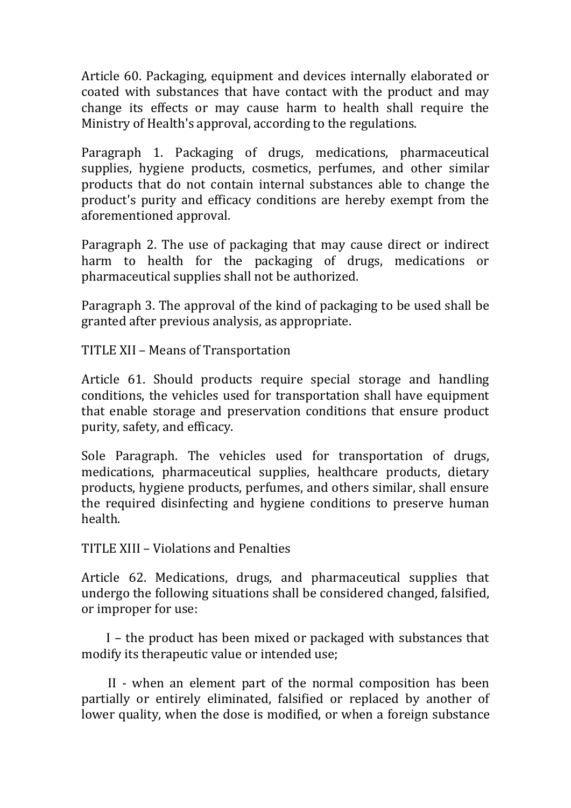Article 60. Packaging, equipment and devices internally elaborated or coated with substances that have contact with the product and may change its effects or may cause harm to health shall require the Ministry of Health's approval, according to the regulations.

Paragraph 1. Packaging of drugs, medications, pharmaceutical supplies, hygiene products, cosmetics, perfumes, and other similar products that do not contain internal substances able to change the product's purity and efficacy conditions are hereby exempt from the aforementioned approval.

Paragraph 2. The use of packaging that may cause direct or indirect harm to health for the packaging of drugs, medications or pharmaceutical supplies shall not be authorized.

Paragraph 3. The approval of the kind of packaging to be used shall be granted after previous analysis, as appropriate.

TITLE XII – Means of Transportation

Article 61. Should products require special storage and handling conditions, the vehicles used for transportation shall have equipment that enable storage and preservation conditions that ensure product purity, safety, and efficacy.

Sole Paragraph. The vehicles used for transportation of drugs, medications, pharmaceutical supplies, healthcare products, dietary products, hygiene products, perfumes, and others similar, shall ensure the required disinfecting and hygiene conditions to preserve human health.

TITLE XIII – Violations and Penalties

Article 62. Medications, drugs, and pharmaceutical supplies that undergo the following situations shall be considered changed, falsified, or improper for use:

 I – the product has been mixed or packaged with substances that modify its therapeutic value or intended use;

 II - when an element part of the normal composition has been partially or entirely eliminated, falsified or replaced by another of lower quality, when the dose is modified, or when a foreign substance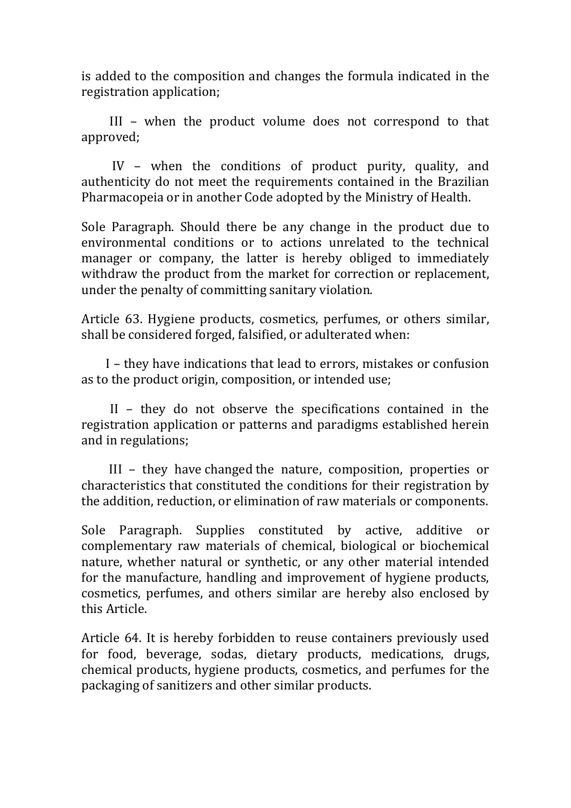is added to the composition and changes the formula indicated in the registration application;

 III – when the product volume does not correspond to that approved;

 IV – when the conditions of product purity, quality, and authenticity do not meet the requirements contained in the Brazilian Pharmacopeia or in another Code adopted by the Ministry of Health.

Sole Paragraph. Should there be any change in the product due to environmental conditions or to actions unrelated to the technical manager or company, the latter is hereby obliged to immediately withdraw the product from the market for correction or replacement, under the penalty of committing sanitary violation.

Article 63. Hygiene products, cosmetics, perfumes, or others similar, shall be considered forged, falsified, or adulterated when:

 I – they have indications that lead to errors, mistakes or confusion as to the product origin, composition, or intended use;

 II – they do not observe the specifications contained in the registration application or patterns and paradigms established herein and in regulations;

 III – they have changed the nature, composition, properties or characteristics that constituted the conditions for their registration by the addition, reduction, or elimination of raw materials or components.

Sole Paragraph. Supplies constituted by active, additive or complementary raw materials of chemical, biological or biochemical nature, whether natural or synthetic, or any other material intended for the manufacture, handling and improvement of hygiene products, cosmetics, perfumes, and others similar are hereby also enclosed by this Article.

Article 64. It is hereby forbidden to reuse containers previously used for food, beverage, sodas, dietary products, medications, drugs, chemical products, hygiene products, cosmetics, and perfumes for the packaging of sanitizers and other similar products.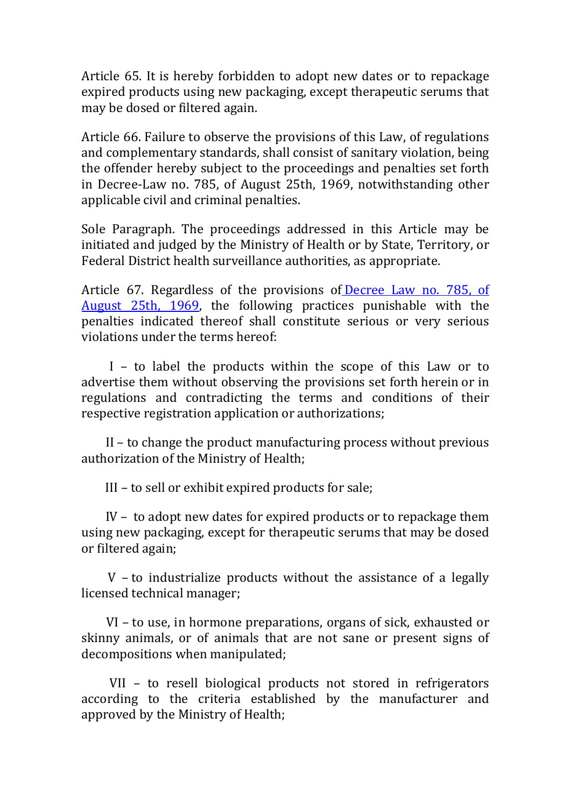Article 65. It is hereby forbidden to adopt new dates or to repackage expired products using new packaging, except therapeutic serums that may be dosed or filtered again.

Article 66. Failure to observe the provisions of this Law, of regulations and complementary standards, shall consist of sanitary violation, being the offender hereby subject to the proceedings and penalties set forth in Decree-Law no. 785, of August 25th, 1969, notwithstanding other applicable civil and criminal penalties.

Sole Paragraph. The proceedings addressed in this Article may be initiated and judged by the Ministry of Health or by State, Territory, or Federal District health surveillance authorities, as appropriate.

Article 67. Regardless of the provisions of [Decree Law no. 785, of](http://www.planalto.gov.br/ccivil_03/Decreto-Lei/1965-1988/Del0785.htm)  [August 25th, 1969,](http://www.planalto.gov.br/ccivil_03/Decreto-Lei/1965-1988/Del0785.htm) the following practices punishable with the penalties indicated thereof shall constitute serious or very serious violations under the terms hereof:

 I – to label the products within the scope of this Law or to advertise them without observing the provisions set forth herein or in regulations and contradicting the terms and conditions of their respective registration application or authorizations;

 II – to change the product manufacturing process without previous authorization of the Ministry of Health;

III – to sell or exhibit expired products for sale;

 IV – to adopt new dates for expired products or to repackage them using new packaging, except for therapeutic serums that may be dosed or filtered again;

 V – to industrialize products without the assistance of a legally licensed technical manager;

 VI – to use, in hormone preparations, organs of sick, exhausted or skinny animals, or of animals that are not sane or present signs of decompositions when manipulated;

 VII – to resell biological products not stored in refrigerators according to the criteria established by the manufacturer and approved by the Ministry of Health;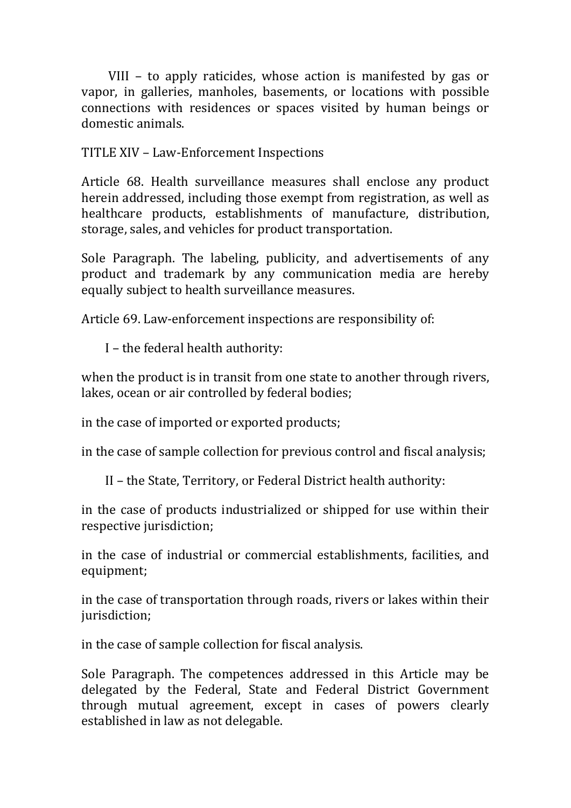VIII – to apply raticides, whose action is manifested by gas or vapor, in galleries, manholes, basements, or locations with possible connections with residences or spaces visited by human beings or domestic animals.

TITLE XIV – Law-Enforcement Inspections

Article 68. Health surveillance measures shall enclose any product herein addressed, including those exempt from registration, as well as healthcare products, establishments of manufacture, distribution, storage, sales, and vehicles for product transportation.

Sole Paragraph. The labeling, publicity, and advertisements of any product and trademark by any communication media are hereby equally subject to health surveillance measures.

Article 69. Law-enforcement inspections are responsibility of:

I – the federal health authority:

when the product is in transit from one state to another through rivers, lakes, ocean or air controlled by federal bodies;

in the case of imported or exported products;

in the case of sample collection for previous control and fiscal analysis;

II – the State, Territory, or Federal District health authority:

in the case of products industrialized or shipped for use within their respective jurisdiction;

in the case of industrial or commercial establishments, facilities, and equipment;

in the case of transportation through roads, rivers or lakes within their jurisdiction;

in the case of sample collection for fiscal analysis.

Sole Paragraph. The competences addressed in this Article may be delegated by the Federal, State and Federal District Government through mutual agreement, except in cases of powers clearly established in law as not delegable.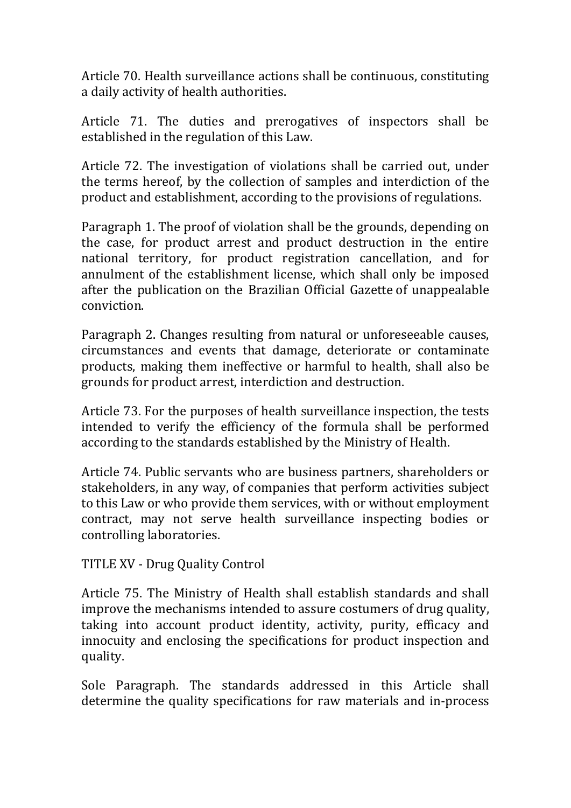Article 70. Health surveillance actions shall be continuous, constituting a daily activity of health authorities.

Article 71. The duties and prerogatives of inspectors shall be established in the regulation of this Law.

Article 72. The investigation of violations shall be carried out, under the terms hereof, by the collection of samples and interdiction of the product and establishment, according to the provisions of regulations.

Paragraph 1. The proof of violation shall be the grounds, depending on the case, for product arrest and product destruction in the entire national territory, for product registration cancellation, and for annulment of the establishment license, which shall only be imposed after the publication on the Brazilian Official Gazette of unappealable conviction.

Paragraph 2. Changes resulting from natural or unforeseeable causes, circumstances and events that damage, deteriorate or contaminate products, making them ineffective or harmful to health, shall also be grounds for product arrest, interdiction and destruction.

Article 73. For the purposes of health surveillance inspection, the tests intended to verify the efficiency of the formula shall be performed according to the standards established by the Ministry of Health.

Article 74. Public servants who are business partners, shareholders or stakeholders, in any way, of companies that perform activities subject to this Law or who provide them services, with or without employment contract, may not serve health surveillance inspecting bodies or controlling laboratories.

TITLE XV - Drug Quality Control

Article 75. The Ministry of Health shall establish standards and shall improve the mechanisms intended to assure costumers of drug quality, taking into account product identity, activity, purity, efficacy and innocuity and enclosing the specifications for product inspection and quality.

Sole Paragraph. The standards addressed in this Article shall determine the quality specifications for raw materials and in-process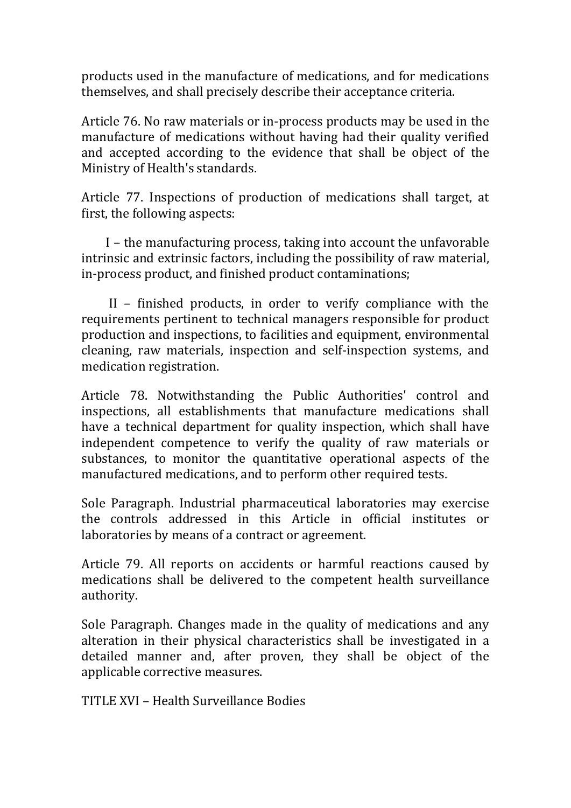products used in the manufacture of medications, and for medications themselves, and shall precisely describe their acceptance criteria.

Article 76. No raw materials or in-process products may be used in the manufacture of medications without having had their quality verified and accepted according to the evidence that shall be object of the Ministry of Health's standards.

Article 77. Inspections of production of medications shall target, at first, the following aspects:

 I – the manufacturing process, taking into account the unfavorable intrinsic and extrinsic factors, including the possibility of raw material, in-process product, and finished product contaminations;

 II – finished products, in order to verify compliance with the requirements pertinent to technical managers responsible for product production and inspections, to facilities and equipment, environmental cleaning, raw materials, inspection and self-inspection systems, and medication registration.

Article 78. Notwithstanding the Public Authorities' control and inspections, all establishments that manufacture medications shall have a technical department for quality inspection, which shall have independent competence to verify the quality of raw materials or substances, to monitor the quantitative operational aspects of the manufactured medications, and to perform other required tests.

Sole Paragraph. Industrial pharmaceutical laboratories may exercise the controls addressed in this Article in official institutes or laboratories by means of a contract or agreement.

Article 79. All reports on accidents or harmful reactions caused by medications shall be delivered to the competent health surveillance authority.

Sole Paragraph. Changes made in the quality of medications and any alteration in their physical characteristics shall be investigated in a detailed manner and, after proven, they shall be object of the applicable corrective measures.

TITLE XVI – Health Surveillance Bodies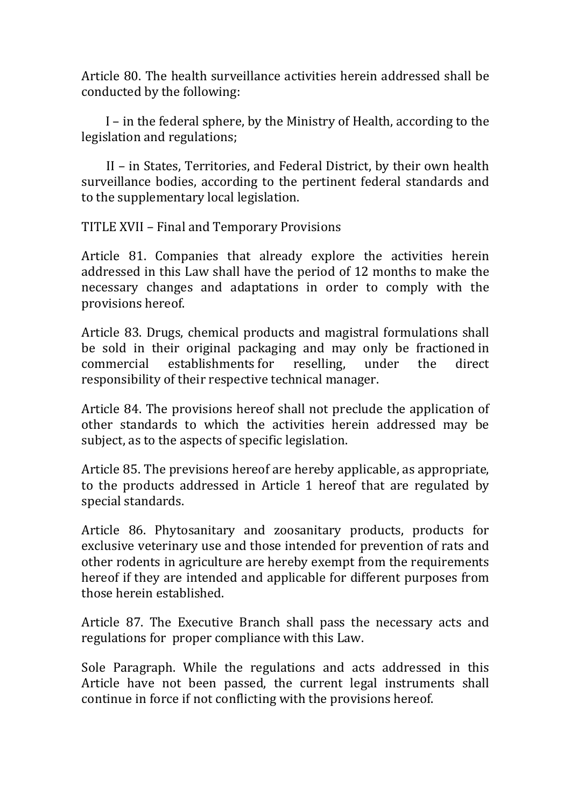Article 80. The health surveillance activities herein addressed shall be conducted by the following:

 I – in the federal sphere, by the Ministry of Health, according to the legislation and regulations;

 II – in States, Territories, and Federal District, by their own health surveillance bodies, according to the pertinent federal standards and to the supplementary local legislation.

TITLE XVII – Final and Temporary Provisions

Article 81. Companies that already explore the activities herein addressed in this Law shall have the period of 12 months to make the necessary changes and adaptations in order to comply with the provisions hereof.

Article 83. Drugs, chemical products and magistral formulations shall be sold in their original packaging and may only be fractioned in commercial establishments for reselling. under the direct establishments for responsibility of their respective technical manager.

Article 84. The provisions hereof shall not preclude the application of other standards to which the activities herein addressed may be subject, as to the aspects of specific legislation.

Article 85. The previsions hereof are hereby applicable, as appropriate, to the products addressed in Article 1 hereof that are regulated by special standards.

Article 86. Phytosanitary and zoosanitary products, products for exclusive veterinary use and those intended for prevention of rats and other rodents in agriculture are hereby exempt from the requirements hereof if they are intended and applicable for different purposes from those herein established.

Article 87. The Executive Branch shall pass the necessary acts and regulations for proper compliance with this Law.

Sole Paragraph. While the regulations and acts addressed in this Article have not been passed, the current legal instruments shall continue in force if not conflicting with the provisions hereof.